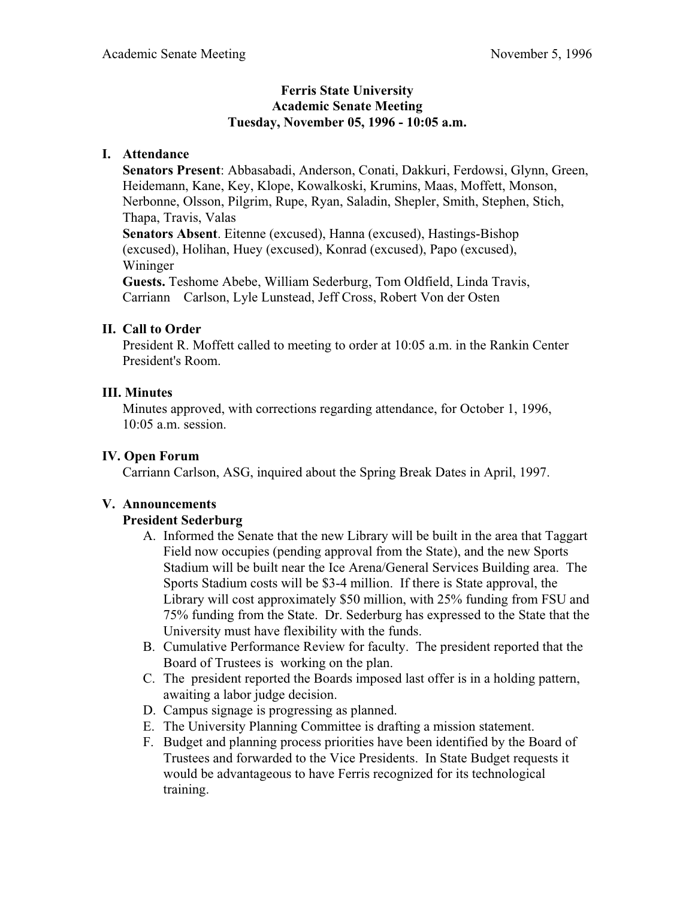#### **Ferris State University Academic Senate Meeting Tuesday, November 05, 1996 - 10:05 a.m.**

## **I. Attendance**

 **Senators Present**: Abbasabadi, Anderson, Conati, Dakkuri, Ferdowsi, Glynn, Green, Heidemann, Kane, Key, Klope, Kowalkoski, Krumins, Maas, Moffett, Monson, Nerbonne, Olsson, Pilgrim, Rupe, Ryan, Saladin, Shepler, Smith, Stephen, Stich, Thapa, Travis, Valas **Senators Absent**. Eitenne (excused), Hanna (excused), Hastings-Bishop (excused), Holihan, Huey (excused), Konrad (excused), Papo (excused), Wininger

**Guests.** Teshome Abebe, William Sederburg, Tom Oldfield, Linda Travis, Carriann Carlson, Lyle Lunstead, Jeff Cross, Robert Von der Osten

## **II. Call to Order**

President R. Moffett called to meeting to order at 10:05 a.m. in the Rankin Center President's Room.

## **III. Minutes**

 Minutes approved, with corrections regarding attendance, for October 1, 1996, 10:05 a.m. session.

### **IV. Open Forum**

Carriann Carlson, ASG, inquired about the Spring Break Dates in April, 1997.

#### **V. Announcements**

#### **President Sederburg**

- A. Informed the Senate that the new Library will be built in the area that Taggart Field now occupies (pending approval from the State), and the new Sports Stadium will be built near the Ice Arena/General Services Building area. The Sports Stadium costs will be \$3-4 million. If there is State approval, the Library will cost approximately \$50 million, with 25% funding from FSU and 75% funding from the State. Dr. Sederburg has expressed to the State that the University must have flexibility with the funds.
- B. Cumulative Performance Review for faculty. The president reported that the Board of Trustees is working on the plan.
- C. The president reported the Boards imposed last offer is in a holding pattern, awaiting a labor judge decision.
- D. Campus signage is progressing as planned.
- E. The University Planning Committee is drafting a mission statement.
- F. Budget and planning process priorities have been identified by the Board of Trustees and forwarded to the Vice Presidents. In State Budget requests it would be advantageous to have Ferris recognized for its technological training.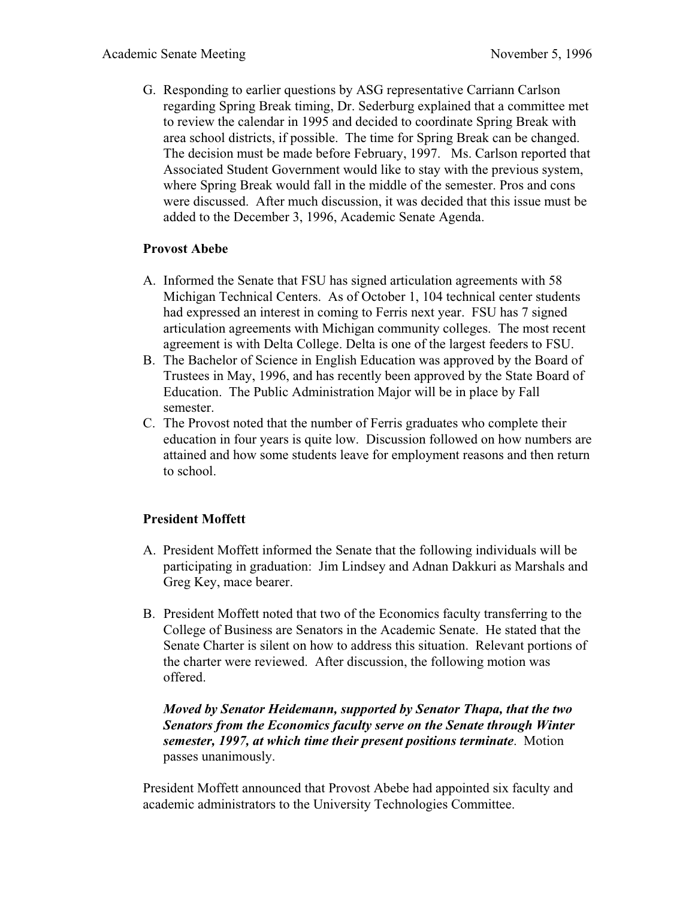G. Responding to earlier questions by ASG representative Carriann Carlson regarding Spring Break timing, Dr. Sederburg explained that a committee met to review the calendar in 1995 and decided to coordinate Spring Break with area school districts, if possible. The time for Spring Break can be changed. The decision must be made before February, 1997. Ms. Carlson reported that Associated Student Government would like to stay with the previous system, where Spring Break would fall in the middle of the semester. Pros and cons were discussed. After much discussion, it was decided that this issue must be added to the December 3, 1996, Academic Senate Agenda.

## **Provost Abebe**

- A. Informed the Senate that FSU has signed articulation agreements with 58 Michigan Technical Centers. As of October 1, 104 technical center students had expressed an interest in coming to Ferris next year. FSU has 7 signed articulation agreements with Michigan community colleges. The most recent agreement is with Delta College. Delta is one of the largest feeders to FSU.
- B. The Bachelor of Science in English Education was approved by the Board of Trustees in May, 1996, and has recently been approved by the State Board of Education. The Public Administration Major will be in place by Fall semester.
- C. The Provost noted that the number of Ferris graduates who complete their education in four years is quite low. Discussion followed on how numbers are attained and how some students leave for employment reasons and then return to school.

# **President Moffett**

- A. President Moffett informed the Senate that the following individuals will be participating in graduation: Jim Lindsey and Adnan Dakkuri as Marshals and Greg Key, mace bearer.
- B. President Moffett noted that two of the Economics faculty transferring to the College of Business are Senators in the Academic Senate. He stated that the Senate Charter is silent on how to address this situation. Relevant portions of the charter were reviewed. After discussion, the following motion was offered.

*Moved by Senator Heidemann, supported by Senator Thapa, that the two Senators from the Economics faculty serve on the Senate through Winter semester, 1997, at which time their present positions terminate*. Motion passes unanimously.

President Moffett announced that Provost Abebe had appointed six faculty and academic administrators to the University Technologies Committee.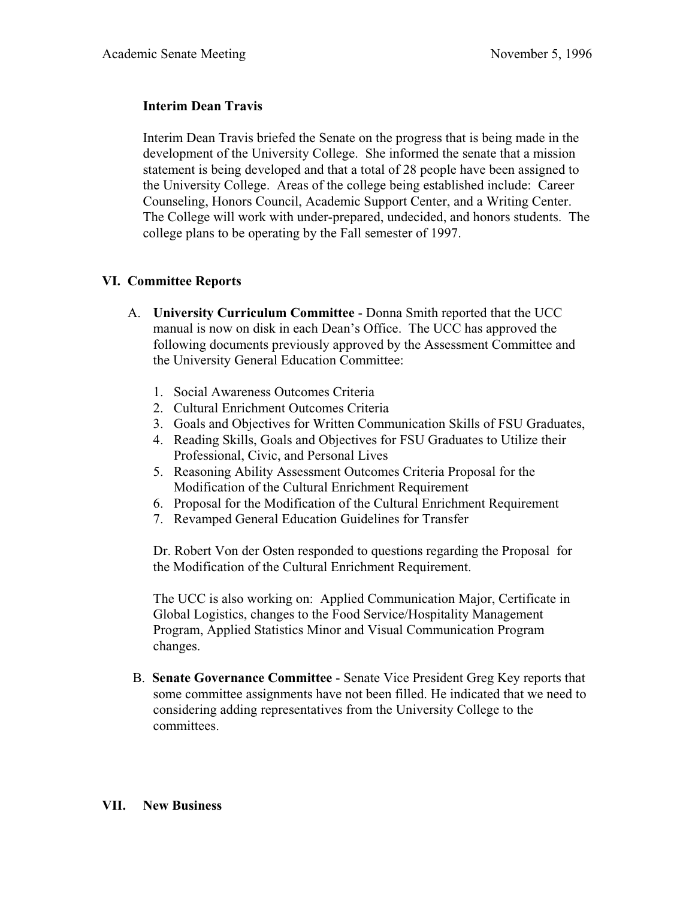## **Interim Dean Travis**

Interim Dean Travis briefed the Senate on the progress that is being made in the development of the University College. She informed the senate that a mission statement is being developed and that a total of 28 people have been assigned to the University College. Areas of the college being established include: Career Counseling, Honors Council, Academic Support Center, and a Writing Center. The College will work with under-prepared, undecided, and honors students. The college plans to be operating by the Fall semester of 1997.

# **VI. Committee Reports**

- A. **University Curriculum Committee** Donna Smith reported that the UCC manual is now on disk in each Dean's Office. The UCC has approved the following documents previously approved by the Assessment Committee and the University General Education Committee:
	- 1. Social Awareness Outcomes Criteria
	- 2. Cultural Enrichment Outcomes Criteria
	- 3. Goals and Objectives for Written Communication Skills of FSU Graduates,
	- 4. Reading Skills, Goals and Objectives for FSU Graduates to Utilize their Professional, Civic, and Personal Lives
	- 5. Reasoning Ability Assessment Outcomes Criteria Proposal for the Modification of the Cultural Enrichment Requirement
	- 6. Proposal for the Modification of the Cultural Enrichment Requirement
	- 7. Revamped General Education Guidelines for Transfer

Dr. Robert Von der Osten responded to questions regarding the Proposal for the Modification of the Cultural Enrichment Requirement.

The UCC is also working on: Applied Communication Major, Certificate in Global Logistics, changes to the Food Service/Hospitality Management Program, Applied Statistics Minor and Visual Communication Program changes.

B. **Senate Governance Committee** - Senate Vice President Greg Key reports that some committee assignments have not been filled. He indicated that we need to considering adding representatives from the University College to the committees.

#### **VII. New Business**